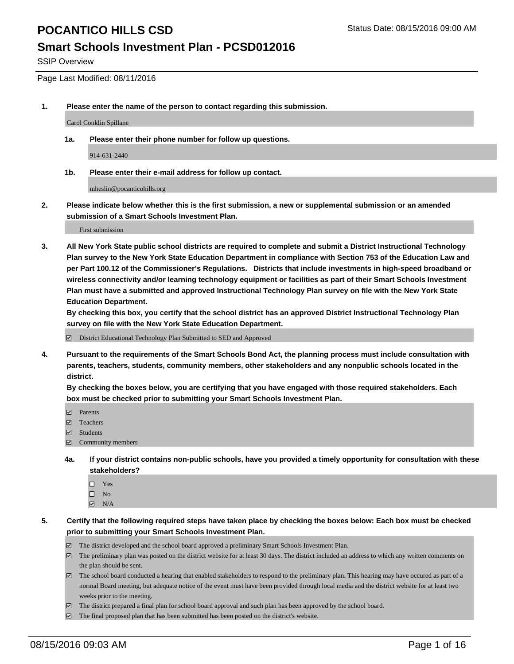#### **Smart Schools Investment Plan - PCSD012016**

SSIP Overview

Page Last Modified: 08/11/2016

**1. Please enter the name of the person to contact regarding this submission.**

Carol Conklin Spillane

**1a. Please enter their phone number for follow up questions.**

914-631-2440

**1b. Please enter their e-mail address for follow up contact.**

mheslin@pocanticohills.org

**2. Please indicate below whether this is the first submission, a new or supplemental submission or an amended submission of a Smart Schools Investment Plan.**

First submission

**3. All New York State public school districts are required to complete and submit a District Instructional Technology Plan survey to the New York State Education Department in compliance with Section 753 of the Education Law and per Part 100.12 of the Commissioner's Regulations. Districts that include investments in high-speed broadband or wireless connectivity and/or learning technology equipment or facilities as part of their Smart Schools Investment Plan must have a submitted and approved Instructional Technology Plan survey on file with the New York State Education Department.** 

**By checking this box, you certify that the school district has an approved District Instructional Technology Plan survey on file with the New York State Education Department.**

District Educational Technology Plan Submitted to SED and Approved

**4. Pursuant to the requirements of the Smart Schools Bond Act, the planning process must include consultation with parents, teachers, students, community members, other stakeholders and any nonpublic schools located in the district.** 

**By checking the boxes below, you are certifying that you have engaged with those required stakeholders. Each box must be checked prior to submitting your Smart Schools Investment Plan.**

- **Parents**
- Teachers
- Students
- Community members
- **4a. If your district contains non-public schools, have you provided a timely opportunity for consultation with these stakeholders?**
	- $\Box$  Yes  $\square$  No
	- $\boxtimes$  N/A
- **5. Certify that the following required steps have taken place by checking the boxes below: Each box must be checked prior to submitting your Smart Schools Investment Plan.**
	- The district developed and the school board approved a preliminary Smart Schools Investment Plan.
	- $\boxdot$  The preliminary plan was posted on the district website for at least 30 days. The district included an address to which any written comments on the plan should be sent.
	- The school board conducted a hearing that enabled stakeholders to respond to the preliminary plan. This hearing may have occured as part of a normal Board meeting, but adequate notice of the event must have been provided through local media and the district website for at least two weeks prior to the meeting.
	- The district prepared a final plan for school board approval and such plan has been approved by the school board.
	- $\boxdot$  The final proposed plan that has been submitted has been posted on the district's website.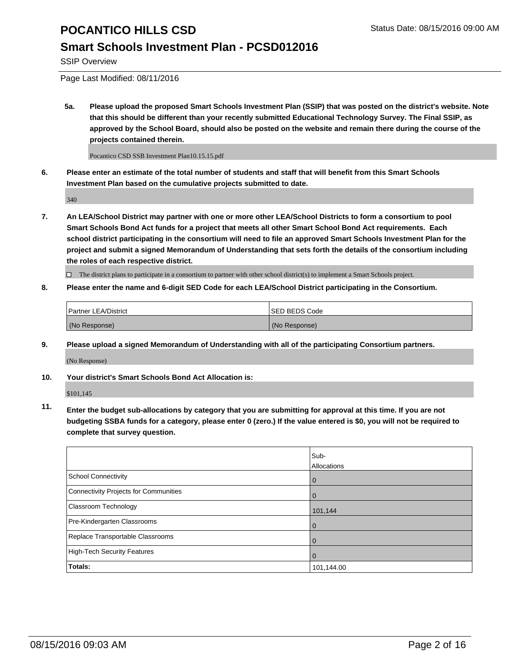### **Smart Schools Investment Plan - PCSD012016**

SSIP Overview

Page Last Modified: 08/11/2016

**5a. Please upload the proposed Smart Schools Investment Plan (SSIP) that was posted on the district's website. Note that this should be different than your recently submitted Educational Technology Survey. The Final SSIP, as approved by the School Board, should also be posted on the website and remain there during the course of the projects contained therein.**

Pocantico CSD SSB Investment Plan10.15.15.pdf

**6. Please enter an estimate of the total number of students and staff that will benefit from this Smart Schools Investment Plan based on the cumulative projects submitted to date.**

340

**7. An LEA/School District may partner with one or more other LEA/School Districts to form a consortium to pool Smart Schools Bond Act funds for a project that meets all other Smart School Bond Act requirements. Each school district participating in the consortium will need to file an approved Smart Schools Investment Plan for the project and submit a signed Memorandum of Understanding that sets forth the details of the consortium including the roles of each respective district.**

 $\Box$  The district plans to participate in a consortium to partner with other school district(s) to implement a Smart Schools project.

#### **8. Please enter the name and 6-digit SED Code for each LEA/School District participating in the Consortium.**

| <b>Partner LEA/District</b> | <b>ISED BEDS Code</b> |
|-----------------------------|-----------------------|
| (No Response)               | (No Response)         |

**9. Please upload a signed Memorandum of Understanding with all of the participating Consortium partners.**

(No Response)

**10. Your district's Smart Schools Bond Act Allocation is:**

\$101,145

**11. Enter the budget sub-allocations by category that you are submitting for approval at this time. If you are not budgeting SSBA funds for a category, please enter 0 (zero.) If the value entered is \$0, you will not be required to complete that survey question.**

|                                       | Sub-        |
|---------------------------------------|-------------|
|                                       | Allocations |
| <b>School Connectivity</b>            | $\bf{0}$    |
| Connectivity Projects for Communities | $\Omega$    |
| Classroom Technology                  | 101,144     |
| Pre-Kindergarten Classrooms           | $\Omega$    |
| Replace Transportable Classrooms      | 0           |
| High-Tech Security Features           | 0           |
| Totals:                               | 101,144.00  |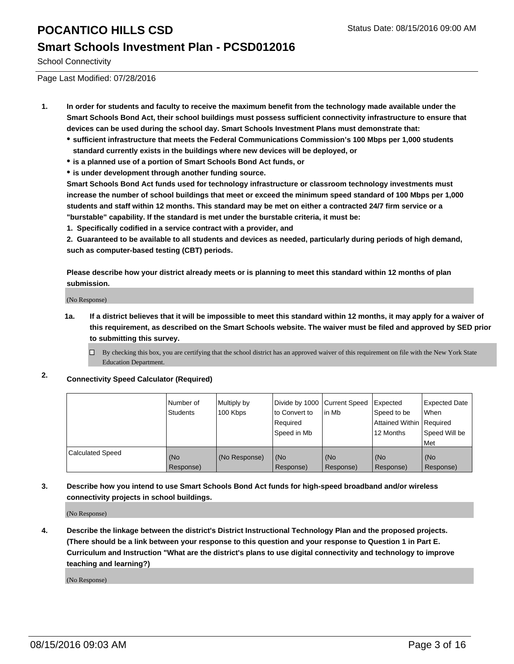#### **Smart Schools Investment Plan - PCSD012016**

School Connectivity

Page Last Modified: 07/28/2016

- **1. In order for students and faculty to receive the maximum benefit from the technology made available under the Smart Schools Bond Act, their school buildings must possess sufficient connectivity infrastructure to ensure that devices can be used during the school day. Smart Schools Investment Plans must demonstrate that:**
	- **sufficient infrastructure that meets the Federal Communications Commission's 100 Mbps per 1,000 students standard currently exists in the buildings where new devices will be deployed, or**
	- **is a planned use of a portion of Smart Schools Bond Act funds, or**
	- **is under development through another funding source.**

**Smart Schools Bond Act funds used for technology infrastructure or classroom technology investments must increase the number of school buildings that meet or exceed the minimum speed standard of 100 Mbps per 1,000 students and staff within 12 months. This standard may be met on either a contracted 24/7 firm service or a "burstable" capability. If the standard is met under the burstable criteria, it must be:**

**1. Specifically codified in a service contract with a provider, and**

**2. Guaranteed to be available to all students and devices as needed, particularly during periods of high demand, such as computer-based testing (CBT) periods.**

**Please describe how your district already meets or is planning to meet this standard within 12 months of plan submission.**

(No Response)

- **1a. If a district believes that it will be impossible to meet this standard within 12 months, it may apply for a waiver of this requirement, as described on the Smart Schools website. The waiver must be filed and approved by SED prior to submitting this survey.**
	- $\Box$  By checking this box, you are certifying that the school district has an approved waiver of this requirement on file with the New York State Education Department.
- **2. Connectivity Speed Calculator (Required)**

|                         | Number of<br><b>Students</b> | Multiply by<br>100 Kbps | Divide by 1000 Current Speed<br>to Convert to<br>Required<br>Speed in Mb | lin Mb           | Expected<br>Speed to be<br>Attained Within Required<br>12 Months | Expected Date<br>l When<br>Speed Will be<br>l Met |
|-------------------------|------------------------------|-------------------------|--------------------------------------------------------------------------|------------------|------------------------------------------------------------------|---------------------------------------------------|
| <b>Calculated Speed</b> | (No<br>Response)             | (No Response)           | (No<br>Response)                                                         | (No<br>Response) | (No<br>Response)                                                 | (No<br>Response)                                  |

#### **3. Describe how you intend to use Smart Schools Bond Act funds for high-speed broadband and/or wireless connectivity projects in school buildings.**

(No Response)

**4. Describe the linkage between the district's District Instructional Technology Plan and the proposed projects. (There should be a link between your response to this question and your response to Question 1 in Part E. Curriculum and Instruction "What are the district's plans to use digital connectivity and technology to improve teaching and learning?)**

(No Response)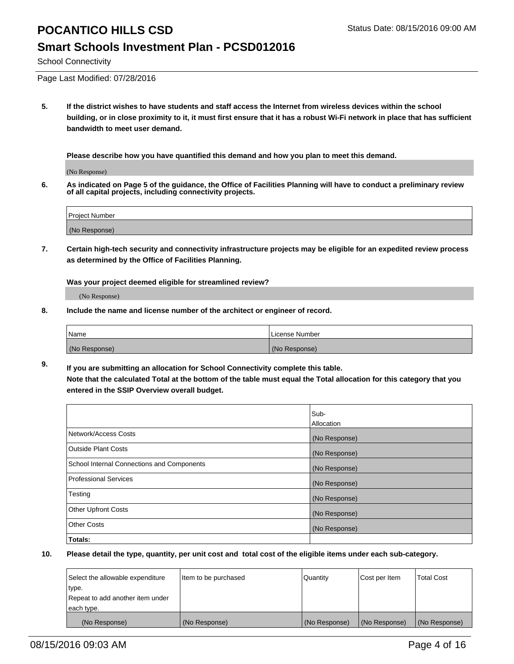#### **Smart Schools Investment Plan - PCSD012016**

School Connectivity

Page Last Modified: 07/28/2016

**5. If the district wishes to have students and staff access the Internet from wireless devices within the school building, or in close proximity to it, it must first ensure that it has a robust Wi-Fi network in place that has sufficient bandwidth to meet user demand.**

**Please describe how you have quantified this demand and how you plan to meet this demand.**

(No Response)

**6. As indicated on Page 5 of the guidance, the Office of Facilities Planning will have to conduct a preliminary review of all capital projects, including connectivity projects.**

| Project Number |  |
|----------------|--|
| (No Response)  |  |

**7. Certain high-tech security and connectivity infrastructure projects may be eligible for an expedited review process as determined by the Office of Facilities Planning.**

**Was your project deemed eligible for streamlined review?**

(No Response)

**8. Include the name and license number of the architect or engineer of record.**

| <b>Name</b>   | License Number |
|---------------|----------------|
| (No Response) | (No Response)  |

**9. If you are submitting an allocation for School Connectivity complete this table. Note that the calculated Total at the bottom of the table must equal the Total allocation for this category that you entered in the SSIP Overview overall budget.** 

|                                            | Sub-          |
|--------------------------------------------|---------------|
|                                            | Allocation    |
| Network/Access Costs                       | (No Response) |
| <b>Outside Plant Costs</b>                 | (No Response) |
| School Internal Connections and Components | (No Response) |
| Professional Services                      | (No Response) |
| Testing                                    | (No Response) |
| <b>Other Upfront Costs</b>                 | (No Response) |
| <b>Other Costs</b>                         | (No Response) |
| Totals:                                    |               |

| Select the allowable expenditure | Item to be purchased | Quantity      | Cost per Item | <b>Total Cost</b> |
|----------------------------------|----------------------|---------------|---------------|-------------------|
| type.                            |                      |               |               |                   |
| Repeat to add another item under |                      |               |               |                   |
| each type.                       |                      |               |               |                   |
| (No Response)                    | (No Response)        | (No Response) | (No Response) | (No Response)     |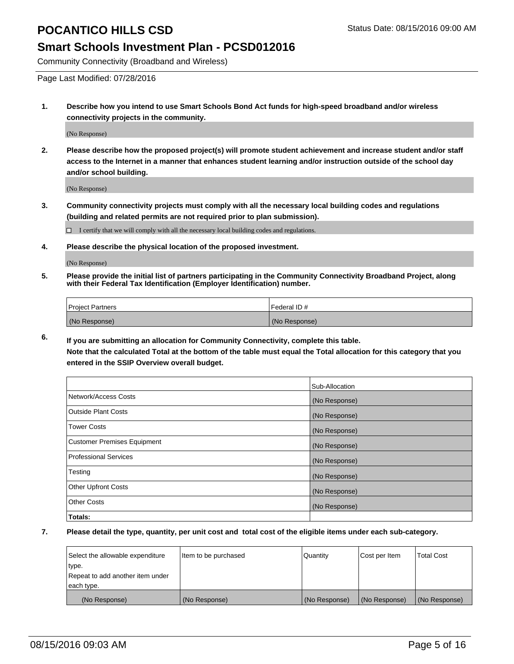### **Smart Schools Investment Plan - PCSD012016**

Community Connectivity (Broadband and Wireless)

Page Last Modified: 07/28/2016

**1. Describe how you intend to use Smart Schools Bond Act funds for high-speed broadband and/or wireless connectivity projects in the community.**

(No Response)

**2. Please describe how the proposed project(s) will promote student achievement and increase student and/or staff access to the Internet in a manner that enhances student learning and/or instruction outside of the school day and/or school building.**

(No Response)

**3. Community connectivity projects must comply with all the necessary local building codes and regulations (building and related permits are not required prior to plan submission).**

 $\Box$  I certify that we will comply with all the necessary local building codes and regulations.

**4. Please describe the physical location of the proposed investment.**

(No Response)

**5. Please provide the initial list of partners participating in the Community Connectivity Broadband Project, along with their Federal Tax Identification (Employer Identification) number.**

| Project Partners | <b>IFederal ID#</b> |
|------------------|---------------------|
| (No Response)    | (No Response)       |

**6. If you are submitting an allocation for Community Connectivity, complete this table. Note that the calculated Total at the bottom of the table must equal the Total allocation for this category that you**

**entered in the SSIP Overview overall budget.**

|                                    | Sub-Allocation |
|------------------------------------|----------------|
| Network/Access Costs               | (No Response)  |
| Outside Plant Costs                | (No Response)  |
| <b>Tower Costs</b>                 | (No Response)  |
| <b>Customer Premises Equipment</b> | (No Response)  |
| Professional Services              | (No Response)  |
| Testing                            | (No Response)  |
| <b>Other Upfront Costs</b>         | (No Response)  |
| Other Costs                        | (No Response)  |
| Totals:                            |                |

| Select the allowable expenditure | Item to be purchased | Quantity      | Cost per Item | <b>Total Cost</b> |
|----------------------------------|----------------------|---------------|---------------|-------------------|
| type.                            |                      |               |               |                   |
| Repeat to add another item under |                      |               |               |                   |
| each type.                       |                      |               |               |                   |
| (No Response)                    | (No Response)        | (No Response) | (No Response) | (No Response)     |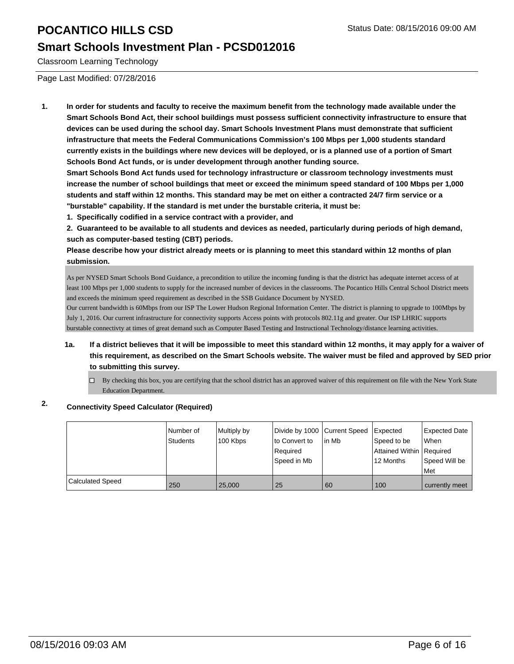### **Smart Schools Investment Plan - PCSD012016**

Classroom Learning Technology

Page Last Modified: 07/28/2016

**1. In order for students and faculty to receive the maximum benefit from the technology made available under the Smart Schools Bond Act, their school buildings must possess sufficient connectivity infrastructure to ensure that devices can be used during the school day. Smart Schools Investment Plans must demonstrate that sufficient infrastructure that meets the Federal Communications Commission's 100 Mbps per 1,000 students standard currently exists in the buildings where new devices will be deployed, or is a planned use of a portion of Smart Schools Bond Act funds, or is under development through another funding source.**

**Smart Schools Bond Act funds used for technology infrastructure or classroom technology investments must increase the number of school buildings that meet or exceed the minimum speed standard of 100 Mbps per 1,000 students and staff within 12 months. This standard may be met on either a contracted 24/7 firm service or a "burstable" capability. If the standard is met under the burstable criteria, it must be:**

**1. Specifically codified in a service contract with a provider, and**

**2. Guaranteed to be available to all students and devices as needed, particularly during periods of high demand, such as computer-based testing (CBT) periods.**

**Please describe how your district already meets or is planning to meet this standard within 12 months of plan submission.**

As per NYSED Smart Schools Bond Guidance, a precondition to utilize the incoming funding is that the district has adequate internet access of at least 100 Mbps per 1,000 students to supply for the increased number of devices in the classrooms. The Pocantico Hills Central School District meets and exceeds the minimum speed requirement as described in the SSB Guidance Document by NYSED.

Our current bandwidth is 60Mbps from our ISP The Lower Hudson Regional Information Center. The district is planning to upgrade to 100Mbps by July 1, 2016. Our current infrastructure for connectivity supports Access points with protocols 802.11g and greater. Our ISP LHRIC supports burstable connectivty at times of great demand such as Computer Based Testing and Instructional Technology/distance learning activities.

- **1a. If a district believes that it will be impossible to meet this standard within 12 months, it may apply for a waiver of this requirement, as described on the Smart Schools website. The waiver must be filed and approved by SED prior to submitting this survey.**
	- $\Box$  By checking this box, you are certifying that the school district has an approved waiver of this requirement on file with the New York State Education Department.

### **2. Connectivity Speed Calculator (Required)**

|                         | i Number of<br><b>Students</b> | Multiply by<br>100 Kbps | Divide by 1000 Current Speed<br>to Convert to<br>Required<br> Speed in Mb | lin Mb | Expected<br>Speed to be<br>Attained Within   Required<br>12 Months | Expected Date<br><b>When</b><br>Speed Will be<br><b>Met</b> |
|-------------------------|--------------------------------|-------------------------|---------------------------------------------------------------------------|--------|--------------------------------------------------------------------|-------------------------------------------------------------|
| <b>Calculated Speed</b> | 250                            | 25,000                  | 25                                                                        | 60     | 100                                                                | currently meet                                              |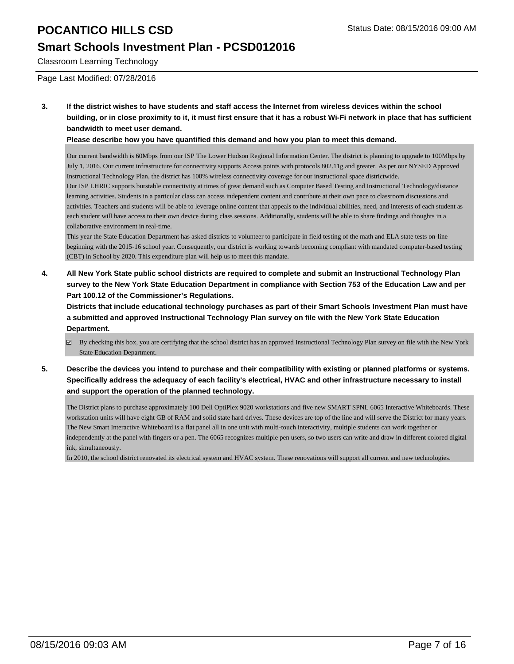### **Smart Schools Investment Plan - PCSD012016**

Classroom Learning Technology

Page Last Modified: 07/28/2016

**3. If the district wishes to have students and staff access the Internet from wireless devices within the school building, or in close proximity to it, it must first ensure that it has a robust Wi-Fi network in place that has sufficient bandwidth to meet user demand.**

**Please describe how you have quantified this demand and how you plan to meet this demand.**

Our current bandwidth is 60Mbps from our ISP The Lower Hudson Regional Information Center. The district is planning to upgrade to 100Mbps by July 1, 2016. Our current infrastructure for connectivity supports Access points with protocols 802.11g and greater. As per our NYSED Approved Instructional Technology Plan, the district has 100% wireless connectivity coverage for our instructional space districtwide.

Our ISP LHRIC supports burstable connectivity at times of great demand such as Computer Based Testing and Instructional Technology/distance learning activities. Students in a particular class can access independent content and contribute at their own pace to classroom discussions and activities. Teachers and students will be able to leverage online content that appeals to the individual abilities, need, and interests of each student as each student will have access to their own device during class sessions. Additionally, students will be able to share findings and thoughts in a collaborative environment in real-time.

This year the State Education Department has asked districts to volunteer to participate in field testing of the math and ELA state tests on-line beginning with the 2015-16 school year. Consequently, our district is working towards becoming compliant with mandated computer-based testing (CBT) in School by 2020. This expenditure plan will help us to meet this mandate.

**4. All New York State public school districts are required to complete and submit an Instructional Technology Plan survey to the New York State Education Department in compliance with Section 753 of the Education Law and per Part 100.12 of the Commissioner's Regulations.**

**Districts that include educational technology purchases as part of their Smart Schools Investment Plan must have a submitted and approved Instructional Technology Plan survey on file with the New York State Education Department.**

- By checking this box, you are certifying that the school district has an approved Instructional Technology Plan survey on file with the New York State Education Department.
- **5. Describe the devices you intend to purchase and their compatibility with existing or planned platforms or systems. Specifically address the adequacy of each facility's electrical, HVAC and other infrastructure necessary to install and support the operation of the planned technology.**

The District plans to purchase approximately 100 Dell OptiPlex 9020 workstations and five new SMART SPNL 6065 Interactive Whiteboards. These workstation units will have eight GB of RAM and solid state hard drives. These devices are top of the line and will serve the District for many years. The New Smart Interactive Whiteboard is a flat panel all in one unit with multi-touch interactivity, multiple students can work together or independently at the panel with fingers or a pen. The 6065 recognizes multiple pen users, so two users can write and draw in different colored digital ink, simultaneously.

In 2010, the school district renovated its electrical system and HVAC system. These renovations will support all current and new technologies.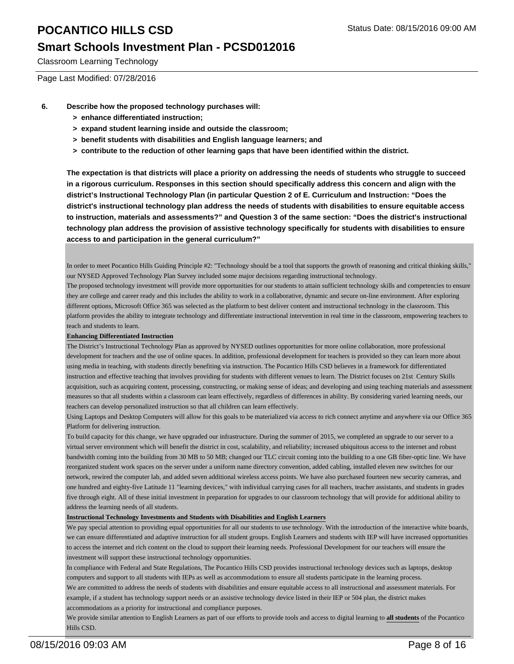### **Smart Schools Investment Plan - PCSD012016**

Classroom Learning Technology

Page Last Modified: 07/28/2016

- **6. Describe how the proposed technology purchases will:**
	- **> enhance differentiated instruction;**
	- **> expand student learning inside and outside the classroom;**
	- **> benefit students with disabilities and English language learners; and**
	- **> contribute to the reduction of other learning gaps that have been identified within the district.**

**The expectation is that districts will place a priority on addressing the needs of students who struggle to succeed in a rigorous curriculum. Responses in this section should specifically address this concern and align with the district's Instructional Technology Plan (in particular Question 2 of E. Curriculum and Instruction: "Does the district's instructional technology plan address the needs of students with disabilities to ensure equitable access to instruction, materials and assessments?" and Question 3 of the same section: "Does the district's instructional technology plan address the provision of assistive technology specifically for students with disabilities to ensure access to and participation in the general curriculum?"**

In order to meet Pocantico Hills Guiding Principle #2: "Technology should be a tool that supports the growth of reasoning and critical thinking skills," our NYSED Approved Technology Plan Survey included some major decisions regarding instructional technology.

The proposed technology investment will provide more opportunities for our students to attain sufficient technology skills and competencies to ensure they are college and career ready and this includes the ability to work in a collaborative, dynamic and secure on-line environment. After exploring different options, Microsoft Office 365 was selected as the platform to best deliver content and instructional technology in the classroom. This platform provides the ability to integrate technology and differentiate instructional intervention in real time in the classroom, empowering teachers to teach and students to learn.

#### **Enhancing Differentiated Instruction**

The District's Instructional Technology Plan as approved by NYSED outlines opportunities for more online collaboration, more professional development for teachers and the use of online spaces. In addition, professional development for teachers is provided so they can learn more about using media in teaching, with students directly benefiting via instruction. The Pocantico Hills CSD believes in a framework for differentiated instruction and effective teaching that involves providing for students with different venues to learn. The District focuses on 21st Century Skills acquisition, such as acquiring content, processing, constructing, or making sense of ideas; and developing and using teaching materials and assessment measures so that all students within a classroom can learn effectively, regardless of differences in ability. By considering varied learning needs, our teachers can develop personalized instruction so that all children can learn effectively.

Using Laptops and Desktop Computers will allow for this goals to be materialized via access to rich connect anytime and anywhere via our Office 365 Platform for delivering instruction.

To build capacity for this change, we have upgraded our infrastructure. During the summer of 2015, we completed an upgrade to our server to a virtual server environment which will benefit the district in cost, scalability, and reliability; increased ubiquitous access to the internet and robust bandwidth coming into the building from 30 MB to 50 MB; changed our TLC circuit coming into the building to a one GB fiber-optic line. We have reorganized student work spaces on the server under a uniform name directory convention, added cabling, installed eleven new switches for our network, rewired the computer lab, and added seven additional wireless access points. We have also purchased fourteen new security cameras, and one hundred and eighty-five Latitude 11 "learning devices," with individual carrying cases for all teachers, teacher assistants, and students in grades five through eight. All of these initial investment in preparation for upgrades to our classroom technology that will provide for additional ability to address the learning needs of all students.

#### **Instructional Technology Investments and Students with Disabilities and English Learners**

We pay special attention to providing equal opportunities for all our students to use technology. With the introduction of the interactive white boards, we can ensure differentiated and adaptive instruction for all student groups. English Learners and students with IEP will have increased opportunities to access the internet and rich content on the cloud to support their learning needs. Professional Development for our teachers will ensure the investment will support these instructional technology opportunities.

In compliance with Federal and State Regulations, The Pocantico Hills CSD provides instructional technology devices such as laptops, desktop computers and support to all students with IEPs as well as accommodations to ensure all students participate in the learning process.

We are committed to address the needs of students with disabilities and ensure equitable access to all instructional and assessment materials. For example, if a student has technology support needs or an assistive technology device listed in their IEP or 504 plan, the district makes accommodations as a priority for instructional and compliance purposes.

We provide similar attention to English Learners as part of our efforts to provide tools and access to digital learning to **all students** of the Pocantico Hills CSD.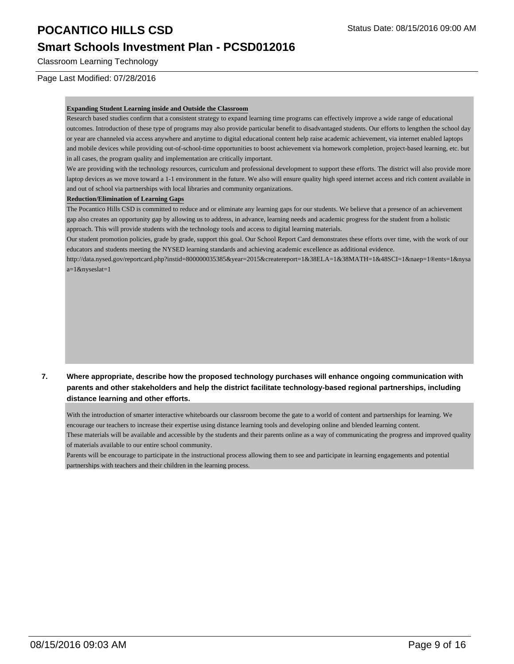### **Smart Schools Investment Plan - PCSD012016**

Classroom Learning Technology

Page Last Modified: 07/28/2016

#### **Expanding Student Learning inside and Outside the Classroom**

Research based studies confirm that a consistent strategy to expand learning time programs can effectively improve a wide range of educational outcomes. Introduction of these type of programs may also provide particular benefit to disadvantaged students. Our efforts to lengthen the school day or year are channeled via access anywhere and anytime to digital educational content help raise academic achievement, via internet enabled laptops and mobile devices while providing out-of-school-time opportunities to boost achievement via homework completion, project-based learning, etc. but in all cases, the program quality and implementation are critically important.

We are providing with the technology resources, curriculum and professional development to support these efforts. The district will also provide more laptop devices as we move toward a 1-1 environment in the future. We also will ensure quality high speed internet access and rich content available in and out of school via partnerships with local libraries and community organizations.

#### **Reduction/Elimination of Learning Gaps**

The Pocantico Hills CSD is committed to reduce and or eliminate any learning gaps for our students. We believe that a presence of an achievement gap also creates an opportunity gap by allowing us to address, in advance, learning needs and academic progress for the student from a holistic approach. This will provide students with the technology tools and access to digital learning materials.

Our student promotion policies, grade by grade, support this goal. Our School Report Card demonstrates these efforts over time, with the work of our educators and students meeting the NYSED learning standards and achieving academic excellence as additional evidence.

http://data.nysed.gov/reportcard.php?instid=800000035385&year=2015&createreport=1&38ELA=1&38MATH=1&48SCI=1&naep=1®ents=1&nysa a=1&nyseslat=1

#### **7. Where appropriate, describe how the proposed technology purchases will enhance ongoing communication with parents and other stakeholders and help the district facilitate technology-based regional partnerships, including distance learning and other efforts.**

With the introduction of smarter interactive whiteboards our classroom become the gate to a world of content and partnerships for learning. We encourage our teachers to increase their expertise using distance learning tools and developing online and blended learning content.

These materials will be available and accessible by the students and their parents online as a way of communicating the progress and improved quality of materials available to our entire school community.

Parents will be encourage to participate in the instructional process allowing them to see and participate in learning engagements and potential partnerships with teachers and their children in the learning process.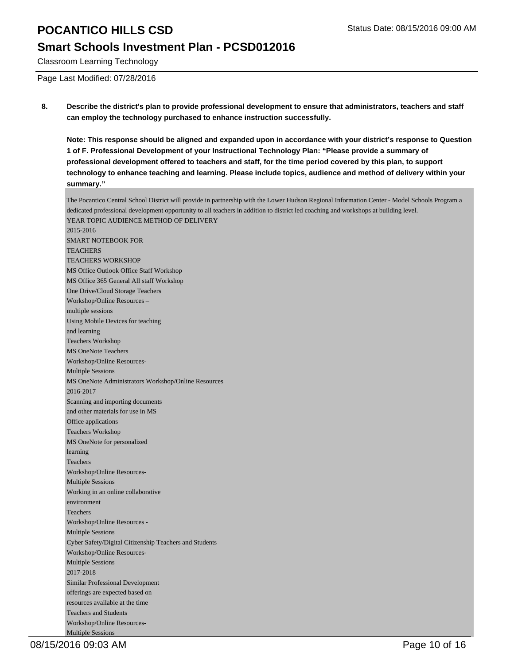### **Smart Schools Investment Plan - PCSD012016**

Classroom Learning Technology

Page Last Modified: 07/28/2016

**8. Describe the district's plan to provide professional development to ensure that administrators, teachers and staff can employ the technology purchased to enhance instruction successfully.**

**Note: This response should be aligned and expanded upon in accordance with your district's response to Question 1 of F. Professional Development of your Instructional Technology Plan: "Please provide a summary of professional development offered to teachers and staff, for the time period covered by this plan, to support technology to enhance teaching and learning. Please include topics, audience and method of delivery within your summary."**

The Pocantico Central School District will provide in partnership with the Lower Hudson Regional Information Center - Model Schools Program a dedicated professional development opportunity to all teachers in addition to district led coaching and workshops at building level. YEAR TOPIC AUDIENCE METHOD OF DELIVERY 2015-2016 SMART NOTEBOOK FOR **TEACHERS** TEACHERS WORKSHOP MS Office Outlook Office Staff Workshop MS Office 365 General All staff Workshop One Drive/Cloud Storage Teachers Workshop/Online Resources – multiple sessions Using Mobile Devices for teaching and learning Teachers Workshop MS OneNote Teachers Workshop/Online Resources-Multiple Sessions MS OneNote Administrators Workshop/Online Resources 2016-2017 Scanning and importing documents and other materials for use in MS Office applications Teachers Workshop MS OneNote for personalized learning Teachers Workshop/Online Resources-Multiple Sessions Working in an online collaborative environment Teachers Workshop/Online Resources - Multiple Sessions Cyber Safety/Digital Citizenship Teachers and Students Workshop/Online Resources-Multiple Sessions 2017-2018 Similar Professional Development offerings are expected based on resources available at the time Teachers and Students Workshop/Online Resources-Multiple Sessions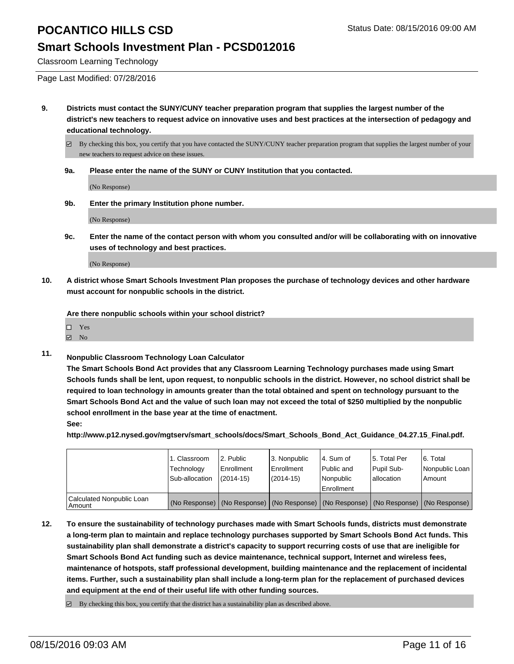#### **Smart Schools Investment Plan - PCSD012016**

Classroom Learning Technology

Page Last Modified: 07/28/2016

**9. Districts must contact the SUNY/CUNY teacher preparation program that supplies the largest number of the district's new teachers to request advice on innovative uses and best practices at the intersection of pedagogy and educational technology.**

 $\boxtimes$  By checking this box, you certify that you have contacted the SUNY/CUNY teacher preparation program that supplies the largest number of your new teachers to request advice on these issues.

**9a. Please enter the name of the SUNY or CUNY Institution that you contacted.**

(No Response)

**9b. Enter the primary Institution phone number.**

(No Response)

**9c. Enter the name of the contact person with whom you consulted and/or will be collaborating with on innovative uses of technology and best practices.**

(No Response)

**10. A district whose Smart Schools Investment Plan proposes the purchase of technology devices and other hardware must account for nonpublic schools in the district.**

**Are there nonpublic schools within your school district?**

| П | Y es |  |
|---|------|--|
|   |      |  |

- No
- **11. Nonpublic Classroom Technology Loan Calculator**

**The Smart Schools Bond Act provides that any Classroom Learning Technology purchases made using Smart Schools funds shall be lent, upon request, to nonpublic schools in the district. However, no school district shall be required to loan technology in amounts greater than the total obtained and spent on technology pursuant to the Smart Schools Bond Act and the value of such loan may not exceed the total of \$250 multiplied by the nonpublic school enrollment in the base year at the time of enactment. See:**

**http://www.p12.nysed.gov/mgtserv/smart\_schools/docs/Smart\_Schools\_Bond\_Act\_Guidance\_04.27.15\_Final.pdf.**

|                                       | 1. Classroom<br>Technology<br>Sub-allocation | 2. Public<br>l Enrollment<br>$(2014 - 15)$ | 3. Nonpublic<br>Enrollment<br>$(2014 - 15)$ | l 4. Sum of<br>Public and<br>l Nonpublic<br>Enrollment                                        | 15. Total Per<br>Pupil Sub-<br>lallocation | 16. Total<br>Nonpublic Loan<br>Amount |
|---------------------------------------|----------------------------------------------|--------------------------------------------|---------------------------------------------|-----------------------------------------------------------------------------------------------|--------------------------------------------|---------------------------------------|
| Calculated Nonpublic Loan<br>l Amount |                                              |                                            |                                             | (No Response)   (No Response)   (No Response)   (No Response)   (No Response)   (No Response) |                                            |                                       |

**12. To ensure the sustainability of technology purchases made with Smart Schools funds, districts must demonstrate a long-term plan to maintain and replace technology purchases supported by Smart Schools Bond Act funds. This sustainability plan shall demonstrate a district's capacity to support recurring costs of use that are ineligible for Smart Schools Bond Act funding such as device maintenance, technical support, Internet and wireless fees, maintenance of hotspots, staff professional development, building maintenance and the replacement of incidental items. Further, such a sustainability plan shall include a long-term plan for the replacement of purchased devices and equipment at the end of their useful life with other funding sources.**

 $\boxdot$  By checking this box, you certify that the district has a sustainability plan as described above.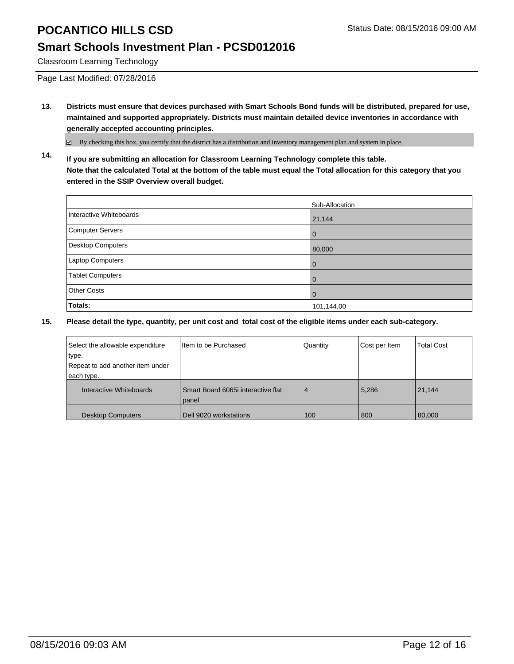## **Smart Schools Investment Plan - PCSD012016**

Classroom Learning Technology

Page Last Modified: 07/28/2016

**13. Districts must ensure that devices purchased with Smart Schools Bond funds will be distributed, prepared for use, maintained and supported appropriately. Districts must maintain detailed device inventories in accordance with generally accepted accounting principles.**

By checking this box, you certify that the district has a distribution and inventory management plan and system in place.

**14. If you are submitting an allocation for Classroom Learning Technology complete this table. Note that the calculated Total at the bottom of the table must equal the Total allocation for this category that you entered in the SSIP Overview overall budget.**

|                          | Sub-Allocation |
|--------------------------|----------------|
| Interactive Whiteboards  | 21,144         |
| Computer Servers         | $\mathbf 0$    |
| <b>Desktop Computers</b> | 80,000         |
| Laptop Computers         | $\mathbf 0$    |
| <b>Tablet Computers</b>  | $\mathbf 0$    |
| <b>Other Costs</b>       | 0              |
| Totals:                  | 101,144.00     |

| Select the allowable expenditure | Item to be Purchased                        | Quantity       | Cost per Item | <b>Total Cost</b> |
|----------------------------------|---------------------------------------------|----------------|---------------|-------------------|
| type.                            |                                             |                |               |                   |
| Repeat to add another item under |                                             |                |               |                   |
| each type.                       |                                             |                |               |                   |
| Interactive Whiteboards          | Smart Board 6065i interactive flat<br>panel | $\overline{4}$ | 5,286         | 21,144            |
| <b>Desktop Computers</b>         | Dell 9020 workstations                      | 100            | 800           | 80,000            |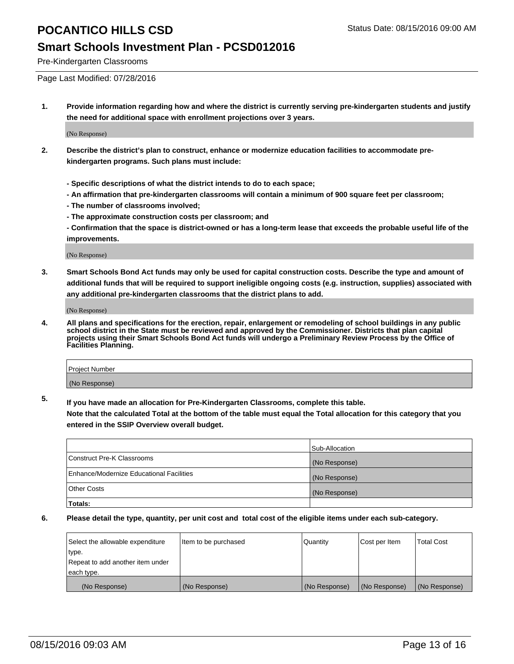#### **Smart Schools Investment Plan - PCSD012016**

Pre-Kindergarten Classrooms

Page Last Modified: 07/28/2016

**1. Provide information regarding how and where the district is currently serving pre-kindergarten students and justify the need for additional space with enrollment projections over 3 years.**

(No Response)

- **2. Describe the district's plan to construct, enhance or modernize education facilities to accommodate prekindergarten programs. Such plans must include:**
	- **Specific descriptions of what the district intends to do to each space;**
	- **An affirmation that pre-kindergarten classrooms will contain a minimum of 900 square feet per classroom;**
	- **The number of classrooms involved;**
	- **The approximate construction costs per classroom; and**
	- **Confirmation that the space is district-owned or has a long-term lease that exceeds the probable useful life of the improvements.**

(No Response)

**3. Smart Schools Bond Act funds may only be used for capital construction costs. Describe the type and amount of additional funds that will be required to support ineligible ongoing costs (e.g. instruction, supplies) associated with any additional pre-kindergarten classrooms that the district plans to add.**

(No Response)

**4. All plans and specifications for the erection, repair, enlargement or remodeling of school buildings in any public school district in the State must be reviewed and approved by the Commissioner. Districts that plan capital projects using their Smart Schools Bond Act funds will undergo a Preliminary Review Process by the Office of Facilities Planning.**

| Project Number |  |
|----------------|--|
| (No Response)  |  |

**5. If you have made an allocation for Pre-Kindergarten Classrooms, complete this table.**

**Note that the calculated Total at the bottom of the table must equal the Total allocation for this category that you entered in the SSIP Overview overall budget.**

|                                          | Sub-Allocation |
|------------------------------------------|----------------|
| Construct Pre-K Classrooms               | (No Response)  |
| Enhance/Modernize Educational Facilities | (No Response)  |
| <b>Other Costs</b>                       | (No Response)  |
| Totals:                                  |                |

| Select the allowable expenditure | litem to be purchased | Quantity      | Cost per Item | <b>Total Cost</b> |
|----------------------------------|-----------------------|---------------|---------------|-------------------|
| type.                            |                       |               |               |                   |
| Repeat to add another item under |                       |               |               |                   |
| each type.                       |                       |               |               |                   |
| (No Response)                    | (No Response)         | (No Response) | (No Response) | (No Response)     |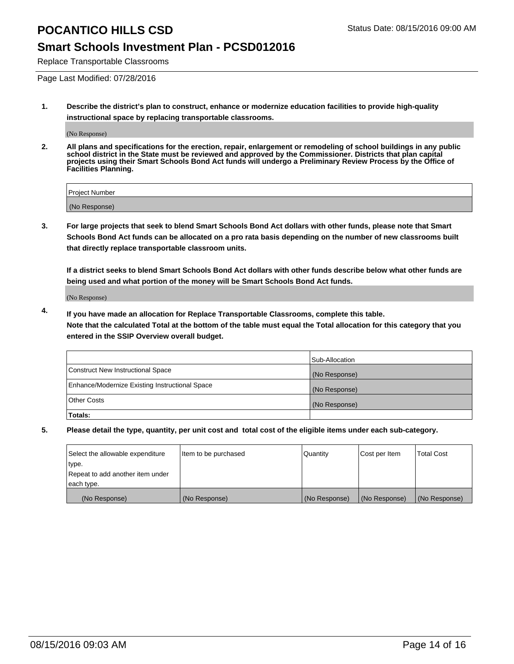#### **Smart Schools Investment Plan - PCSD012016**

Replace Transportable Classrooms

Page Last Modified: 07/28/2016

**1. Describe the district's plan to construct, enhance or modernize education facilities to provide high-quality instructional space by replacing transportable classrooms.**

(No Response)

**2. All plans and specifications for the erection, repair, enlargement or remodeling of school buildings in any public school district in the State must be reviewed and approved by the Commissioner. Districts that plan capital projects using their Smart Schools Bond Act funds will undergo a Preliminary Review Process by the Office of Facilities Planning.**

| <b>Project Number</b> |  |
|-----------------------|--|
| (No Response)         |  |

**3. For large projects that seek to blend Smart Schools Bond Act dollars with other funds, please note that Smart Schools Bond Act funds can be allocated on a pro rata basis depending on the number of new classrooms built that directly replace transportable classroom units.**

**If a district seeks to blend Smart Schools Bond Act dollars with other funds describe below what other funds are being used and what portion of the money will be Smart Schools Bond Act funds.**

(No Response)

**4. If you have made an allocation for Replace Transportable Classrooms, complete this table. Note that the calculated Total at the bottom of the table must equal the Total allocation for this category that you entered in the SSIP Overview overall budget.**

|                                                | Sub-Allocation |
|------------------------------------------------|----------------|
| Construct New Instructional Space              | (No Response)  |
| Enhance/Modernize Existing Instructional Space | (No Response)  |
| Other Costs                                    | (No Response)  |
| Totals:                                        |                |

| Select the allowable expenditure | litem to be purchased | Quantity      | Cost per Item | <b>Total Cost</b> |
|----------------------------------|-----------------------|---------------|---------------|-------------------|
| type.                            |                       |               |               |                   |
| Repeat to add another item under |                       |               |               |                   |
| each type.                       |                       |               |               |                   |
| (No Response)                    | (No Response)         | (No Response) | (No Response) | (No Response)     |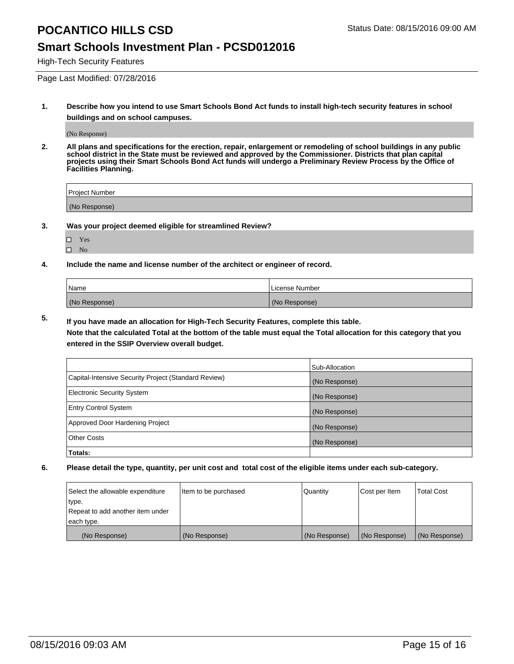#### **Smart Schools Investment Plan - PCSD012016**

High-Tech Security Features

Page Last Modified: 07/28/2016

**1. Describe how you intend to use Smart Schools Bond Act funds to install high-tech security features in school buildings and on school campuses.**

(No Response)

**2. All plans and specifications for the erection, repair, enlargement or remodeling of school buildings in any public school district in the State must be reviewed and approved by the Commissioner. Districts that plan capital projects using their Smart Schools Bond Act funds will undergo a Preliminary Review Process by the Office of Facilities Planning.** 

| Project Number |  |
|----------------|--|
| (No Response)  |  |

**3. Was your project deemed eligible for streamlined Review?**

| L | Yes |  |
|---|-----|--|
| ш | No  |  |

**4. Include the name and license number of the architect or engineer of record.**

| Name          | License Number |
|---------------|----------------|
| (No Response) | (No Response)  |

**5. If you have made an allocation for High-Tech Security Features, complete this table.**

**Note that the calculated Total at the bottom of the table must equal the Total allocation for this category that you entered in the SSIP Overview overall budget.**

|                                                      | Sub-Allocation |
|------------------------------------------------------|----------------|
| Capital-Intensive Security Project (Standard Review) | (No Response)  |
| <b>Electronic Security System</b>                    | (No Response)  |
| <b>Entry Control System</b>                          | (No Response)  |
| Approved Door Hardening Project                      | (No Response)  |
| <b>Other Costs</b>                                   | (No Response)  |
| Totals:                                              |                |

| Select the allowable expenditure | litem to be purchased | Quantity      | Cost per Item | <b>Total Cost</b> |
|----------------------------------|-----------------------|---------------|---------------|-------------------|
| type.                            |                       |               |               |                   |
| Repeat to add another item under |                       |               |               |                   |
| each type.                       |                       |               |               |                   |
| (No Response)                    | (No Response)         | (No Response) | (No Response) | (No Response)     |